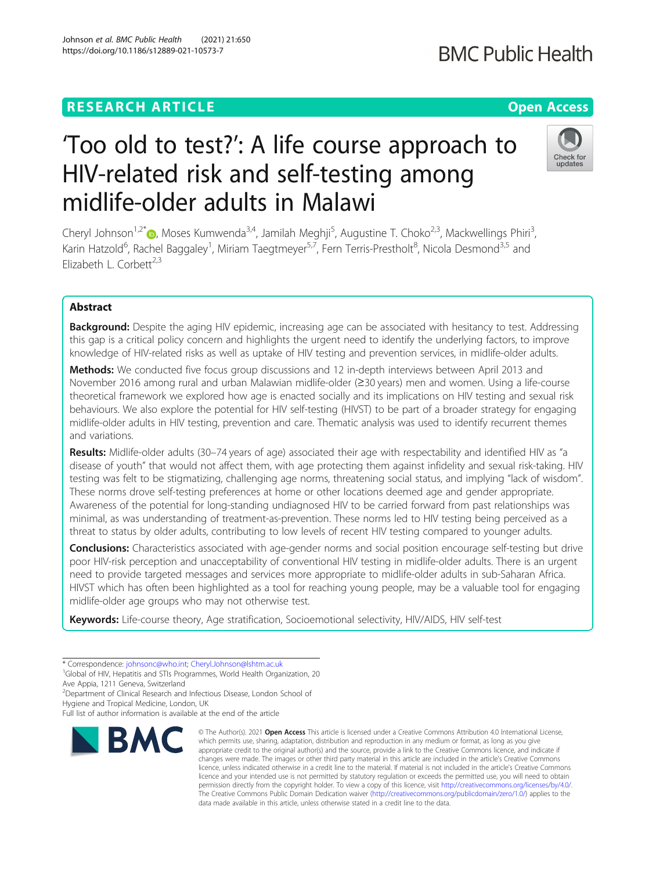## **RESEARCH ARTICLE Example 2014 12:30 The Contract of Contract ACCESS**

# 'Too old to test?': A life course approach to HIV-related risk and self-testing among midlife-older adults in Malawi

Cheryl Johnson<sup>1[,](http://orcid.org/0000-0001-5499-5523)2\*</sup> (@, Moses Kumwenda<sup>3,4</sup>, Jamilah Meghji<sup>5</sup>, Augustine T. Choko<sup>2,3</sup>, Mackwellings Phiri<sup>3</sup> , Karin Hatzold<sup>6</sup>, Rachel Baggaley<sup>1</sup>, Miriam Taegtmeyer<sup>5,7</sup>, Fern Terris-Prestholt<sup>8</sup>, Nicola Desmond<sup>3,5</sup> and Elizabeth L. Corbett<sup>2,3</sup>

## Abstract

**Background:** Despite the aging HIV epidemic, increasing age can be associated with hesitancy to test. Addressing this gap is a critical policy concern and highlights the urgent need to identify the underlying factors, to improve knowledge of HIV-related risks as well as uptake of HIV testing and prevention services, in midlife-older adults.

Methods: We conducted five focus group discussions and 12 in-depth interviews between April 2013 and November 2016 among rural and urban Malawian midlife-older (≥30 years) men and women. Using a life-course theoretical framework we explored how age is enacted socially and its implications on HIV testing and sexual risk behaviours. We also explore the potential for HIV self-testing (HIVST) to be part of a broader strategy for engaging midlife-older adults in HIV testing, prevention and care. Thematic analysis was used to identify recurrent themes and variations.

Results: Midlife-older adults (30–74 years of age) associated their age with respectability and identified HIV as "a disease of youth" that would not affect them, with age protecting them against infidelity and sexual risk-taking. HIV testing was felt to be stigmatizing, challenging age norms, threatening social status, and implying "lack of wisdom". These norms drove self-testing preferences at home or other locations deemed age and gender appropriate. Awareness of the potential for long-standing undiagnosed HIV to be carried forward from past relationships was minimal, as was understanding of treatment-as-prevention. These norms led to HIV testing being perceived as a threat to status by older adults, contributing to low levels of recent HIV testing compared to younger adults.

**Conclusions:** Characteristics associated with age-gender norms and social position encourage self-testing but drive poor HIV-risk perception and unacceptability of conventional HIV testing in midlife-older adults. There is an urgent need to provide targeted messages and services more appropriate to midlife-older adults in sub-Saharan Africa. HIVST which has often been highlighted as a tool for reaching young people, may be a valuable tool for engaging midlife-older age groups who may not otherwise test.

Keywords: Life-course theory, Age stratification, Socioemotional selectivity, HIV/AIDS, HIV self-test

Hygiene and Tropical Medicine, London, UK



<sup>©</sup> The Author(s), 2021 **Open Access** This article is licensed under a Creative Commons Attribution 4.0 International License, which permits use, sharing, adaptation, distribution and reproduction in any medium or format, as long as you give appropriate credit to the original author(s) and the source, provide a link to the Creative Commons licence, and indicate if changes were made. The images or other third party material in this article are included in the article's Creative Commons licence, unless indicated otherwise in a credit line to the material. If material is not included in the article's Creative Commons licence and your intended use is not permitted by statutory regulation or exceeds the permitted use, you will need to obtain permission directly from the copyright holder. To view a copy of this licence, visit [http://creativecommons.org/licenses/by/4.0/.](http://creativecommons.org/licenses/by/4.0/) The Creative Commons Public Domain Dedication waiver [\(http://creativecommons.org/publicdomain/zero/1.0/](http://creativecommons.org/publicdomain/zero/1.0/)) applies to the data made available in this article, unless otherwise stated in a credit line to the data.



**BMC Public Health** 

updates

<sup>\*</sup> Correspondence: [johnsonc@who.int;](mailto:johnsonc@who.int) [Cheryl.Johnson@lshtm.ac.uk](mailto:Cheryl.Johnson@lshtm.ac.uk) <sup>1</sup>

<sup>&</sup>lt;sup>1</sup>Global of HIV, Hepatitis and STIs Programmes, World Health Organization, 20 Ave Appia, 1211 Geneva, Switzerland

<sup>&</sup>lt;sup>2</sup> Department of Clinical Research and Infectious Disease, London School of

Full list of author information is available at the end of the article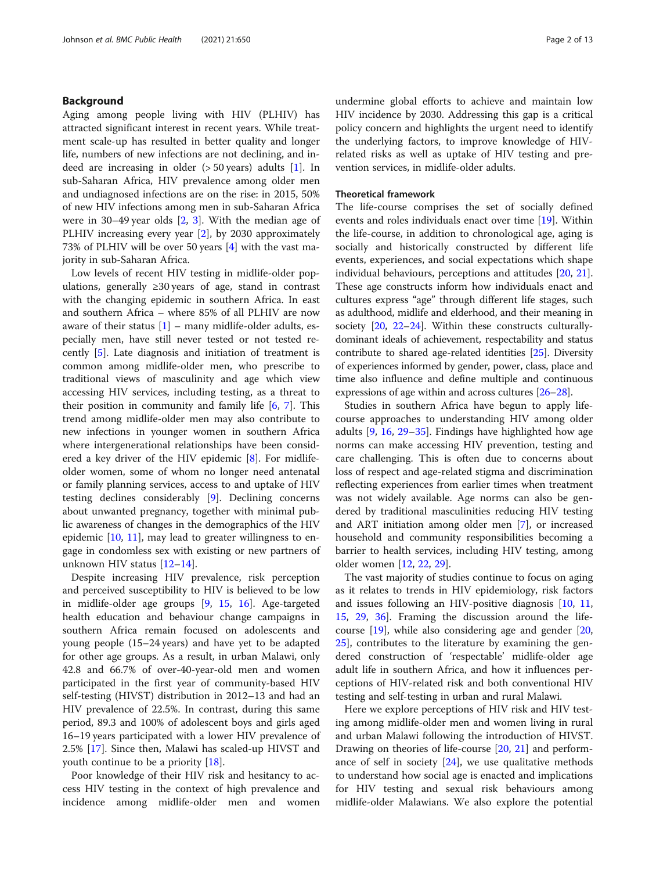## Background

Aging among people living with HIV (PLHIV) has attracted significant interest in recent years. While treatment scale-up has resulted in better quality and longer life, numbers of new infections are not declining, and indeed are increasing in older (> 50 years) adults [[1\]](#page-11-0). In sub-Saharan Africa, HIV prevalence among older men and undiagnosed infections are on the rise: in 2015, 50% of new HIV infections among men in sub-Saharan Africa were in 30–49 year olds [\[2,](#page-11-0) [3\]](#page-11-0). With the median age of PLHIV increasing every year [\[2](#page-11-0)], by 2030 approximately 73% of PLHIV will be over 50 years [[4\]](#page-11-0) with the vast majority in sub-Saharan Africa.

Low levels of recent HIV testing in midlife-older populations, generally  $\geq 30$  years of age, stand in contrast with the changing epidemic in southern Africa. In east and southern Africa – where 85% of all PLHIV are now aware of their status  $[1]$  $[1]$  – many midlife-older adults, especially men, have still never tested or not tested recently [[5](#page-11-0)]. Late diagnosis and initiation of treatment is common among midlife-older men, who prescribe to traditional views of masculinity and age which view accessing HIV services, including testing, as a threat to their position in community and family life  $[6, 7]$  $[6, 7]$  $[6, 7]$ . This trend among midlife-older men may also contribute to new infections in younger women in southern Africa where intergenerational relationships have been considered a key driver of the HIV epidemic [[8\]](#page-11-0). For midlifeolder women, some of whom no longer need antenatal or family planning services, access to and uptake of HIV testing declines considerably [\[9\]](#page-11-0). Declining concerns about unwanted pregnancy, together with minimal public awareness of changes in the demographics of the HIV epidemic  $[10, 11]$  $[10, 11]$  $[10, 11]$  $[10, 11]$ , may lead to greater willingness to engage in condomless sex with existing or new partners of unknown HIV status [\[12](#page-11-0)–[14\]](#page-11-0).

Despite increasing HIV prevalence, risk perception and perceived susceptibility to HIV is believed to be low in midlife-older age groups [[9,](#page-11-0) [15,](#page-11-0) [16](#page-11-0)]. Age-targeted health education and behaviour change campaigns in southern Africa remain focused on adolescents and young people (15–24 years) and have yet to be adapted for other age groups. As a result, in urban Malawi, only 42.8 and 66.7% of over-40-year-old men and women participated in the first year of community-based HIV self-testing (HIVST) distribution in 2012–13 and had an HIV prevalence of 22.5%. In contrast, during this same period, 89.3 and 100% of adolescent boys and girls aged 16–19 years participated with a lower HIV prevalence of 2.5% [\[17](#page-11-0)]. Since then, Malawi has scaled-up HIVST and youth continue to be a priority [\[18\]](#page-11-0).

Poor knowledge of their HIV risk and hesitancy to access HIV testing in the context of high prevalence and incidence among midlife-older men and women

undermine global efforts to achieve and maintain low HIV incidence by 2030. Addressing this gap is a critical policy concern and highlights the urgent need to identify the underlying factors, to improve knowledge of HIVrelated risks as well as uptake of HIV testing and prevention services, in midlife-older adults.

#### Theoretical framework

The life-course comprises the set of socially defined events and roles individuals enact over time [\[19](#page-12-0)]. Within the life-course, in addition to chronological age, aging is socially and historically constructed by different life events, experiences, and social expectations which shape individual behaviours, perceptions and attitudes [\[20](#page-12-0), [21](#page-12-0)]. These age constructs inform how individuals enact and cultures express "age" through different life stages, such as adulthood, midlife and elderhood, and their meaning in society [\[20,](#page-12-0) [22](#page-12-0)–[24\]](#page-12-0). Within these constructs culturallydominant ideals of achievement, respectability and status contribute to shared age-related identities [\[25\]](#page-12-0). Diversity of experiences informed by gender, power, class, place and time also influence and define multiple and continuous expressions of age within and across cultures [[26](#page-12-0)–[28\]](#page-12-0).

Studies in southern Africa have begun to apply lifecourse approaches to understanding HIV among older adults [[9,](#page-11-0) [16,](#page-11-0) [29](#page-12-0)–[35\]](#page-12-0). Findings have highlighted how age norms can make accessing HIV prevention, testing and care challenging. This is often due to concerns about loss of respect and age-related stigma and discrimination reflecting experiences from earlier times when treatment was not widely available. Age norms can also be gendered by traditional masculinities reducing HIV testing and ART initiation among older men [[7](#page-11-0)], or increased household and community responsibilities becoming a barrier to health services, including HIV testing, among older women [[12,](#page-11-0) [22](#page-12-0), [29](#page-12-0)].

The vast majority of studies continue to focus on aging as it relates to trends in HIV epidemiology, risk factors and issues following an HIV-positive diagnosis [\[10](#page-11-0), [11](#page-11-0), [15,](#page-11-0) [29,](#page-12-0) [36](#page-12-0)]. Framing the discussion around the lifecourse [[19](#page-12-0)], while also considering age and gender [[20](#page-12-0), [25\]](#page-12-0), contributes to the literature by examining the gendered construction of 'respectable' midlife-older age adult life in southern Africa, and how it influences perceptions of HIV-related risk and both conventional HIV testing and self-testing in urban and rural Malawi.

Here we explore perceptions of HIV risk and HIV testing among midlife-older men and women living in rural and urban Malawi following the introduction of HIVST. Drawing on theories of life-course [\[20](#page-12-0), [21](#page-12-0)] and performance of self in society  $[24]$  $[24]$  $[24]$ , we use qualitative methods to understand how social age is enacted and implications for HIV testing and sexual risk behaviours among midlife-older Malawians. We also explore the potential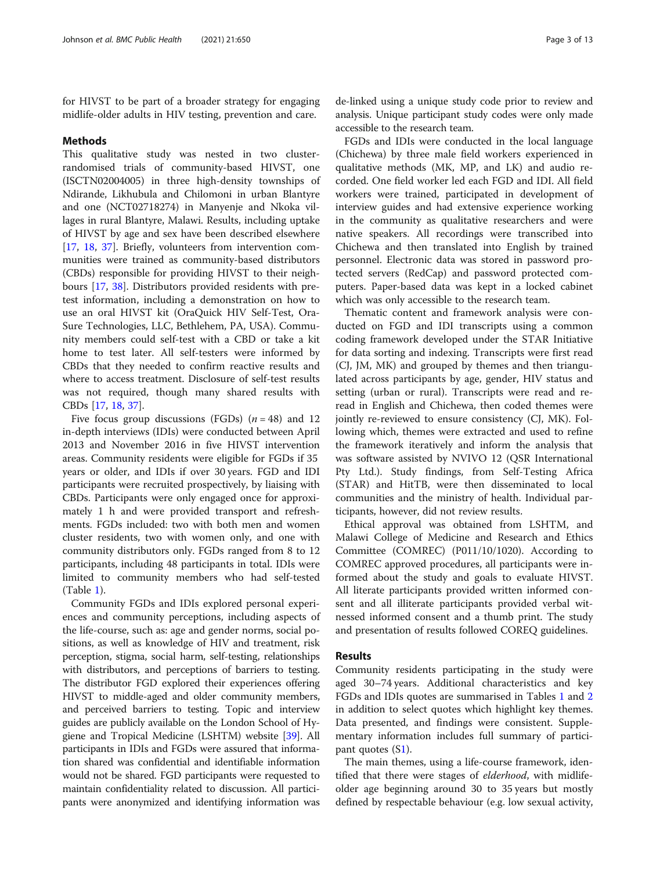for HIVST to be part of a broader strategy for engaging midlife-older adults in HIV testing, prevention and care.

#### Methods

This qualitative study was nested in two clusterrandomised trials of community-based HIVST, one (ISCTN02004005) in three high-density townships of Ndirande, Likhubula and Chilomoni in urban Blantyre and one (NCT02718274) in Manyenje and Nkoka villages in rural Blantyre, Malawi. Results, including uptake of HIVST by age and sex have been described elsewhere [[17,](#page-11-0) [18,](#page-11-0) [37](#page-12-0)]. Briefly, volunteers from intervention communities were trained as community-based distributors (CBDs) responsible for providing HIVST to their neighbours [\[17](#page-11-0), [38\]](#page-12-0). Distributors provided residents with pretest information, including a demonstration on how to use an oral HIVST kit (OraQuick HIV Self-Test, Ora-Sure Technologies, LLC, Bethlehem, PA, USA). Community members could self-test with a CBD or take a kit home to test later. All self-testers were informed by CBDs that they needed to confirm reactive results and where to access treatment. Disclosure of self-test results was not required, though many shared results with CBDs [\[17](#page-11-0), [18,](#page-11-0) [37\]](#page-12-0).

Five focus group discussions (FGDs)  $(n = 48)$  and 12 in-depth interviews (IDIs) were conducted between April 2013 and November 2016 in five HIVST intervention areas. Community residents were eligible for FGDs if 35 years or older, and IDIs if over 30 years. FGD and IDI participants were recruited prospectively, by liaising with CBDs. Participants were only engaged once for approximately 1 h and were provided transport and refreshments. FGDs included: two with both men and women cluster residents, two with women only, and one with community distributors only. FGDs ranged from 8 to 12 participants, including 48 participants in total. IDIs were limited to community members who had self-tested (Table [1\)](#page-3-0).

Community FGDs and IDIs explored personal experiences and community perceptions, including aspects of the life-course, such as: age and gender norms, social positions, as well as knowledge of HIV and treatment, risk perception, stigma, social harm, self-testing, relationships with distributors, and perceptions of barriers to testing. The distributor FGD explored their experiences offering HIVST to middle-aged and older community members, and perceived barriers to testing. Topic and interview guides are publicly available on the London School of Hygiene and Tropical Medicine (LSHTM) website [[39\]](#page-12-0). All participants in IDIs and FGDs were assured that information shared was confidential and identifiable information would not be shared. FGD participants were requested to maintain confidentiality related to discussion. All participants were anonymized and identifying information was de-linked using a unique study code prior to review and analysis. Unique participant study codes were only made accessible to the research team.

FGDs and IDIs were conducted in the local language (Chichewa) by three male field workers experienced in qualitative methods (MK, MP, and LK) and audio recorded. One field worker led each FGD and IDI. All field workers were trained, participated in development of interview guides and had extensive experience working in the community as qualitative researchers and were native speakers. All recordings were transcribed into Chichewa and then translated into English by trained personnel. Electronic data was stored in password protected servers (RedCap) and password protected computers. Paper-based data was kept in a locked cabinet which was only accessible to the research team.

Thematic content and framework analysis were conducted on FGD and IDI transcripts using a common coding framework developed under the STAR Initiative for data sorting and indexing. Transcripts were first read (CJ, JM, MK) and grouped by themes and then triangulated across participants by age, gender, HIV status and setting (urban or rural). Transcripts were read and reread in English and Chichewa, then coded themes were jointly re-reviewed to ensure consistency (CJ, MK). Following which, themes were extracted and used to refine the framework iteratively and inform the analysis that was software assisted by NVIVO 12 (QSR International Pty Ltd.). Study findings, from Self-Testing Africa (STAR) and HitTB, were then disseminated to local communities and the ministry of health. Individual participants, however, did not review results.

Ethical approval was obtained from LSHTM, and Malawi College of Medicine and Research and Ethics Committee (COMREC) (P011/10/1020). According to COMREC approved procedures, all participants were informed about the study and goals to evaluate HIVST. All literate participants provided written informed consent and all illiterate participants provided verbal witnessed informed consent and a thumb print. The study and presentation of results followed COREQ guidelines.

## Results

Community residents participating in the study were aged 30–74 years. Additional characteristics and key FGDs and IDIs quotes are summarised in Tables [1](#page-3-0) and [2](#page-4-0) in addition to select quotes which highlight key themes. Data presented, and findings were consistent. Supplementary information includes full summary of participant quotes (S[1\)](#page-11-0).

The main themes, using a life-course framework, identified that there were stages of *elderhood*, with midlifeolder age beginning around 30 to 35 years but mostly defined by respectable behaviour (e.g. low sexual activity,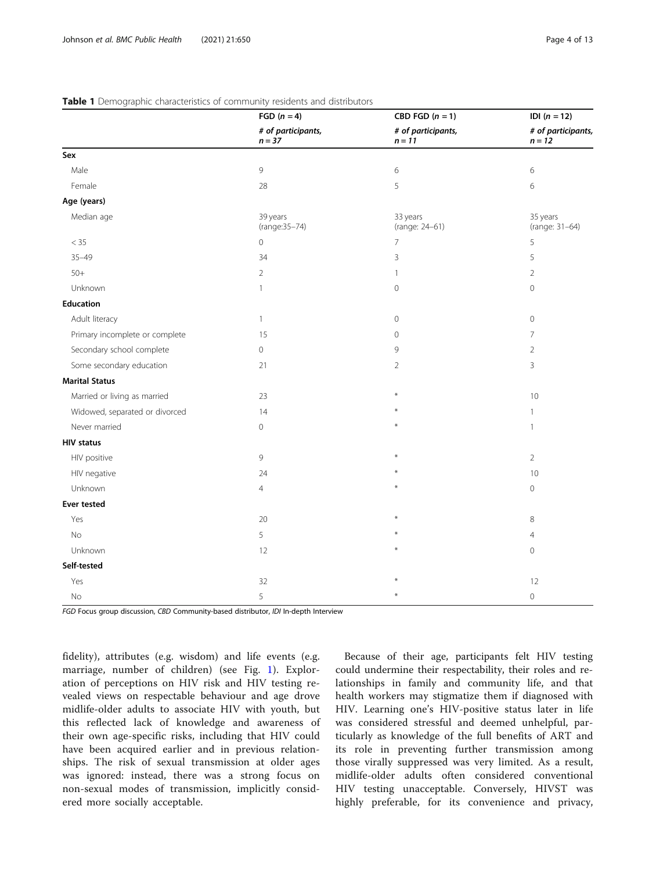## <span id="page-3-0"></span>Table 1 Demographic characteristics of community residents and distributors

|                                | FGD $(n = 4)$<br># of participants,<br>$n = 37$ | CBD FGD $(n = 1)$              | <b>IDI</b> $(n = 12)$          |
|--------------------------------|-------------------------------------------------|--------------------------------|--------------------------------|
|                                |                                                 | # of participants,<br>$n = 11$ | # of participants,<br>$n = 12$ |
| Sex                            |                                                 |                                |                                |
| Male                           | 9                                               | 6                              | 6                              |
| Female                         | 28                                              | 5                              | $\,$ 6 $\,$                    |
| Age (years)                    |                                                 |                                |                                |
| Median age                     | 39 years<br>(range: 35-74)                      | 33 years<br>(range: 24-61)     | 35 years<br>(range: 31-64)     |
| $< 35\,$                       | 0                                               | 7                              | 5                              |
| $35 - 49$                      | 34                                              | 3                              | 5                              |
| $50+$                          | $\overline{2}$                                  | $\mathbf{1}$                   | $\overline{2}$                 |
| Unknown                        | 1                                               | $\overline{0}$                 | $\mathbf 0$                    |
| <b>Education</b>               |                                                 |                                |                                |
| Adult literacy                 | $\mathbf{1}$                                    | 0                              | $\mathbf 0$                    |
| Primary incomplete or complete | 15                                              | 0                              | 7                              |
| Secondary school complete      | 0                                               | 9                              | $\overline{2}$                 |
| Some secondary education       | 21                                              | $\overline{2}$                 | 3                              |
| <b>Marital Status</b>          |                                                 |                                |                                |
| Married or living as married   | 23                                              |                                | 10                             |
| Widowed, separated or divorced | 14                                              |                                | $\mathbf{1}$                   |
| Never married                  | 0                                               |                                | 1                              |
| <b>HIV status</b>              |                                                 |                                |                                |
| HIV positive                   | 9                                               |                                | $\overline{2}$                 |
| HIV negative                   | 24                                              |                                | 10                             |
| Unknown                        | $\overline{4}$                                  |                                | $\mathsf{O}\xspace$            |
| <b>Ever tested</b>             |                                                 |                                |                                |
| Yes                            | 20                                              |                                | 8                              |
| No                             | 5                                               |                                | $\overline{4}$                 |
| Unknown                        | 12                                              |                                | $\mathbf 0$                    |
| Self-tested                    |                                                 |                                |                                |
| Yes                            | 32                                              |                                | 12                             |
| No                             | 5                                               |                                | $\mathbf 0$                    |

FGD Focus group discussion, CBD Community-based distributor, IDI In-depth Interview

fidelity), attributes (e.g. wisdom) and life events (e.g. marriage, number of children) (see Fig. [1\)](#page-6-0). Exploration of perceptions on HIV risk and HIV testing revealed views on respectable behaviour and age drove midlife-older adults to associate HIV with youth, but this reflected lack of knowledge and awareness of their own age-specific risks, including that HIV could have been acquired earlier and in previous relationships. The risk of sexual transmission at older ages was ignored: instead, there was a strong focus on non-sexual modes of transmission, implicitly considered more socially acceptable.

Because of their age, participants felt HIV testing could undermine their respectability, their roles and relationships in family and community life, and that health workers may stigmatize them if diagnosed with HIV. Learning one's HIV-positive status later in life was considered stressful and deemed unhelpful, particularly as knowledge of the full benefits of ART and its role in preventing further transmission among those virally suppressed was very limited. As a result, midlife-older adults often considered conventional HIV testing unacceptable. Conversely, HIVST was highly preferable, for its convenience and privacy,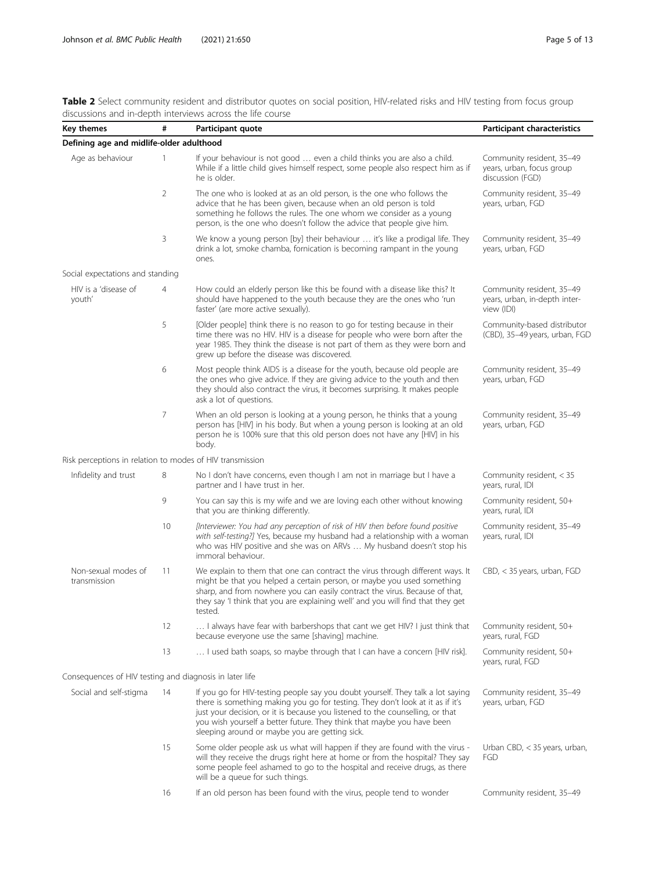<span id="page-4-0"></span>Table 2 Select community resident and distributor quotes on social position, HIV-related risks and HIV testing from focus group discussions and in-depth interviews across the life course

| Key themes                                                | #              | Participant quote                                                                                                                                                                                                                                                                                                                                                              | <b>Participant characteristics</b>                                         |
|-----------------------------------------------------------|----------------|--------------------------------------------------------------------------------------------------------------------------------------------------------------------------------------------------------------------------------------------------------------------------------------------------------------------------------------------------------------------------------|----------------------------------------------------------------------------|
| Defining age and midlife-older adulthood                  |                |                                                                                                                                                                                                                                                                                                                                                                                |                                                                            |
| Age as behaviour                                          | 1              | If your behaviour is not good  even a child thinks you are also a child.<br>While if a little child gives himself respect, some people also respect him as if<br>he is older.                                                                                                                                                                                                  | Community resident, 35-49<br>years, urban, focus group<br>discussion (FGD) |
|                                                           | $\overline{2}$ | The one who is looked at as an old person, is the one who follows the<br>advice that he has been given, because when an old person is told<br>something he follows the rules. The one whom we consider as a young<br>person, is the one who doesn't follow the advice that people give him.                                                                                    | Community resident, 35-49<br>years, urban, FGD                             |
|                                                           | 3              | We know a young person [by] their behaviour  it's like a prodigal life. They<br>drink a lot, smoke chamba, fornication is becoming rampant in the young<br>ones.                                                                                                                                                                                                               | Community resident, 35-49<br>years, urban, FGD                             |
| Social expectations and standing                          |                |                                                                                                                                                                                                                                                                                                                                                                                |                                                                            |
| HIV is a 'disease of<br>youth'                            | 4              | How could an elderly person like this be found with a disease like this? It<br>should have happened to the youth because they are the ones who 'run<br>faster' (are more active sexually).                                                                                                                                                                                     | Community resident, 35-49<br>years, urban, in-depth inter-<br>view (IDI)   |
|                                                           | 5              | [Older people] think there is no reason to go for testing because in their<br>time there was no HIV. HIV is a disease for people who were born after the<br>year 1985. They think the disease is not part of them as they were born and<br>grew up before the disease was discovered.                                                                                          | Community-based distributor<br>(CBD), 35-49 years, urban, FGD              |
|                                                           | 6              | Most people think AIDS is a disease for the youth, because old people are<br>the ones who give advice. If they are giving advice to the youth and then<br>they should also contract the virus, it becomes surprising. It makes people<br>ask a lot of questions.                                                                                                               | Community resident, 35-49<br>years, urban, FGD                             |
|                                                           | 7              | When an old person is looking at a young person, he thinks that a young<br>person has [HIV] in his body. But when a young person is looking at an old<br>person he is 100% sure that this old person does not have any [HIV] in his<br>body.                                                                                                                                   | Community resident, 35-49<br>years, urban, FGD                             |
| Risk perceptions in relation to modes of HIV transmission |                |                                                                                                                                                                                                                                                                                                                                                                                |                                                                            |
| Infidelity and trust                                      | 8              | No I don't have concerns, even though I am not in marriage but I have a<br>partner and I have trust in her.                                                                                                                                                                                                                                                                    | Community resident, < 35<br>years, rural, IDI                              |
|                                                           | 9              | You can say this is my wife and we are loving each other without knowing<br>that you are thinking differently.                                                                                                                                                                                                                                                                 | Community resident, 50+<br>years, rural, IDI                               |
|                                                           | 10             | [Interviewer: You had any perception of risk of HIV then before found positive<br>with self-testing?] Yes, because my husband had a relationship with a woman<br>who was HIV positive and she was on ARVs  My husband doesn't stop his<br>immoral behaviour.                                                                                                                   | Community resident, 35-49<br>years, rural, IDI                             |
| Non-sexual modes of<br>transmission                       | 11             | We explain to them that one can contract the virus through different ways. It<br>might be that you helped a certain person, or maybe you used something<br>sharp, and from nowhere you can easily contract the virus. Because of that,<br>they say 'I think that you are explaining well' and you will find that they get<br>tested.                                           | CBD, < 35 years, urban, FGD                                                |
|                                                           | 12             | I always have fear with barbershops that cant we get HIV? I just think that<br>because everyone use the same [shaving] machine.                                                                                                                                                                                                                                                | Community resident, 50+<br>years, rural, FGD                               |
|                                                           | 13             | I used bath soaps, so maybe through that I can have a concern [HIV risk].                                                                                                                                                                                                                                                                                                      | Community resident, 50+<br>years, rural, FGD                               |
| Consequences of HIV testing and diagnosis in later life   |                |                                                                                                                                                                                                                                                                                                                                                                                |                                                                            |
| Social and self-stigma                                    | 14             | If you go for HIV-testing people say you doubt yourself. They talk a lot saying<br>there is something making you go for testing. They don't look at it as if it's<br>just your decision, or it is because you listened to the counselling, or that<br>you wish yourself a better future. They think that maybe you have been<br>sleeping around or maybe you are getting sick. | Community resident, 35-49<br>years, urban, FGD                             |
|                                                           | 15             | Some older people ask us what will happen if they are found with the virus -<br>will they receive the drugs right here at home or from the hospital? They say<br>some people feel ashamed to go to the hospital and receive drugs, as there<br>will be a queue for such things.                                                                                                | Urban CBD, < 35 years, urban,<br>FGD                                       |
|                                                           | 16             | If an old person has been found with the virus, people tend to wonder                                                                                                                                                                                                                                                                                                          | Community resident, 35-49                                                  |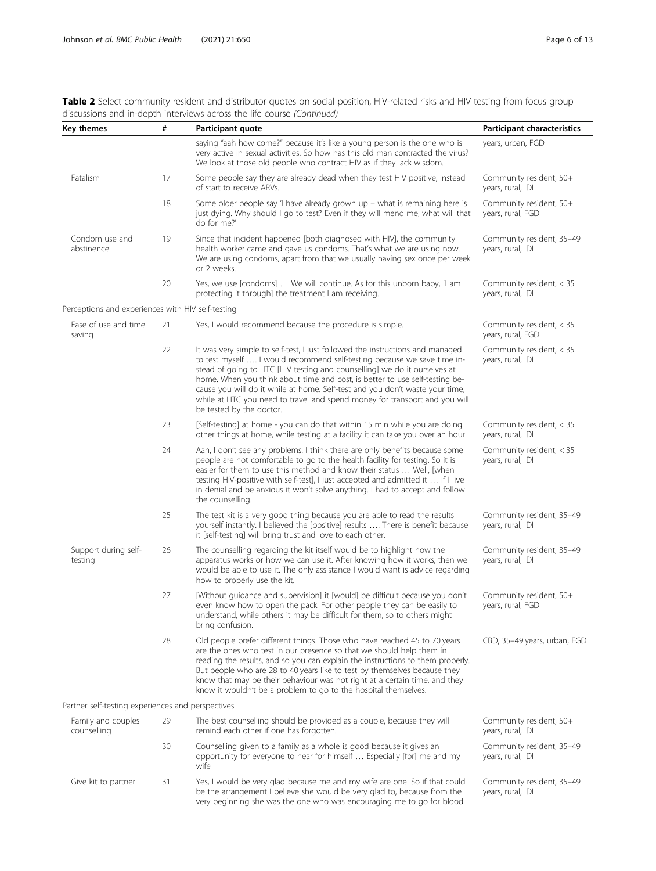| Key themes                                        | #  | Participant quote                                                                                                                                                                                                                                                                                                                                                                                                                                                                                              | Participant characteristics                    |
|---------------------------------------------------|----|----------------------------------------------------------------------------------------------------------------------------------------------------------------------------------------------------------------------------------------------------------------------------------------------------------------------------------------------------------------------------------------------------------------------------------------------------------------------------------------------------------------|------------------------------------------------|
|                                                   |    | saying "aah how come?" because it's like a young person is the one who is<br>very active in sexual activities. So how has this old man contracted the virus?<br>We look at those old people who contract HIV as if they lack wisdom.                                                                                                                                                                                                                                                                           | years, urban, FGD                              |
| Fatalism                                          | 17 | Some people say they are already dead when they test HIV positive, instead<br>of start to receive ARVs.                                                                                                                                                                                                                                                                                                                                                                                                        | Community resident, 50+<br>years, rural, IDI   |
|                                                   | 18 | Some older people say 'I have already grown up - what is remaining here is<br>just dying. Why should I go to test? Even if they will mend me, what will that<br>do for me?'                                                                                                                                                                                                                                                                                                                                    | Community resident, 50+<br>years, rural, FGD   |
| Condom use and<br>abstinence                      | 19 | Since that incident happened [both diagnosed with HIV], the community<br>health worker came and gave us condoms. That's what we are using now.<br>We are using condoms, apart from that we usually having sex once per week<br>or 2 weeks.                                                                                                                                                                                                                                                                     | Community resident, 35-49<br>years, rural, IDI |
|                                                   | 20 | Yes, we use [condoms]  We will continue. As for this unborn baby, [I am<br>protecting it through] the treatment I am receiving.                                                                                                                                                                                                                                                                                                                                                                                | Community resident, < 35<br>years, rural, IDI  |
| Perceptions and experiences with HIV self-testing |    |                                                                                                                                                                                                                                                                                                                                                                                                                                                                                                                |                                                |
| Ease of use and time<br>saving                    | 21 | Yes, I would recommend because the procedure is simple.                                                                                                                                                                                                                                                                                                                                                                                                                                                        | Community resident, < 35<br>years, rural, FGD  |
|                                                   | 22 | It was very simple to self-test, I just followed the instructions and managed<br>to test myself  I would recommend self-testing because we save time in-<br>stead of going to HTC [HIV testing and counselling] we do it ourselves at<br>home. When you think about time and cost, is better to use self-testing be-<br>cause you will do it while at home. Self-test and you don't waste your time,<br>while at HTC you need to travel and spend money for transport and you will<br>be tested by the doctor. | Community resident, < 35<br>years, rural, IDI  |
|                                                   | 23 | [Self-testing] at home - you can do that within 15 min while you are doing<br>other things at home, while testing at a facility it can take you over an hour.                                                                                                                                                                                                                                                                                                                                                  | Community resident, < 35<br>years, rural, IDI  |
|                                                   | 24 | Aah, I don't see any problems. I think there are only benefits because some<br>people are not comfortable to go to the health facility for testing. So it is<br>easier for them to use this method and know their status  Well, [when<br>testing HIV-positive with self-test], I just accepted and admitted it  If I live<br>in denial and be anxious it won't solve anything. I had to accept and follow<br>the counselling.                                                                                  | Community resident, < 35<br>years, rural, IDI  |
|                                                   | 25 | The test kit is a very good thing because you are able to read the results<br>yourself instantly. I believed the [positive] results  There is benefit because<br>it [self-testing] will bring trust and love to each other.                                                                                                                                                                                                                                                                                    | Community resident, 35-49<br>years, rural, IDI |
| Support during self-<br>testing                   | 26 | The counselling regarding the kit itself would be to highlight how the<br>apparatus works or how we can use it. After knowing how it works, then we<br>would be able to use it. The only assistance I would want is advice regarding<br>how to properly use the kit.                                                                                                                                                                                                                                           | Community resident, 35-49<br>years, rural, IDI |
|                                                   | 27 | [Without guidance and supervision] it [would] be difficult because you don't<br>even know how to open the pack. For other people they can be easily to<br>understand, while others it may be difficult for them, so to others might<br>bring confusion.                                                                                                                                                                                                                                                        | Community resident, 50+<br>years, rural, FGD   |
|                                                   | 28 | Old people prefer different things. Those who have reached 45 to 70 years<br>are the ones who test in our presence so that we should help them in<br>reading the results, and so you can explain the instructions to them properly.<br>But people who are 28 to 40 years like to test by themselves because they<br>know that may be their behaviour was not right at a certain time, and they<br>know it wouldn't be a problem to go to the hospital themselves.                                              | CBD, 35-49 years, urban, FGD                   |
| Partner self-testing experiences and perspectives |    |                                                                                                                                                                                                                                                                                                                                                                                                                                                                                                                |                                                |
| Family and couples<br>counselling                 | 29 | The best counselling should be provided as a couple, because they will<br>remind each other if one has forgotten.                                                                                                                                                                                                                                                                                                                                                                                              | Community resident, 50+<br>years, rural, IDI   |
|                                                   | 30 | Counselling given to a family as a whole is good because it gives an<br>opportunity for everyone to hear for himself  Especially [for] me and my<br>wife                                                                                                                                                                                                                                                                                                                                                       | Community resident, 35-49<br>years, rural, IDI |
| Give kit to partner                               | 31 | Yes, I would be very glad because me and my wife are one. So if that could<br>be the arrangement I believe she would be very glad to, because from the<br>very beginning she was the one who was encouraging me to go for blood                                                                                                                                                                                                                                                                                | Community resident, 35-49<br>years, rural, IDI |

Table 2 Select community resident and distributor quotes on social position, HIV-related risks and HIV testing from focus group discussions and in-depth interviews across the life course (Continued)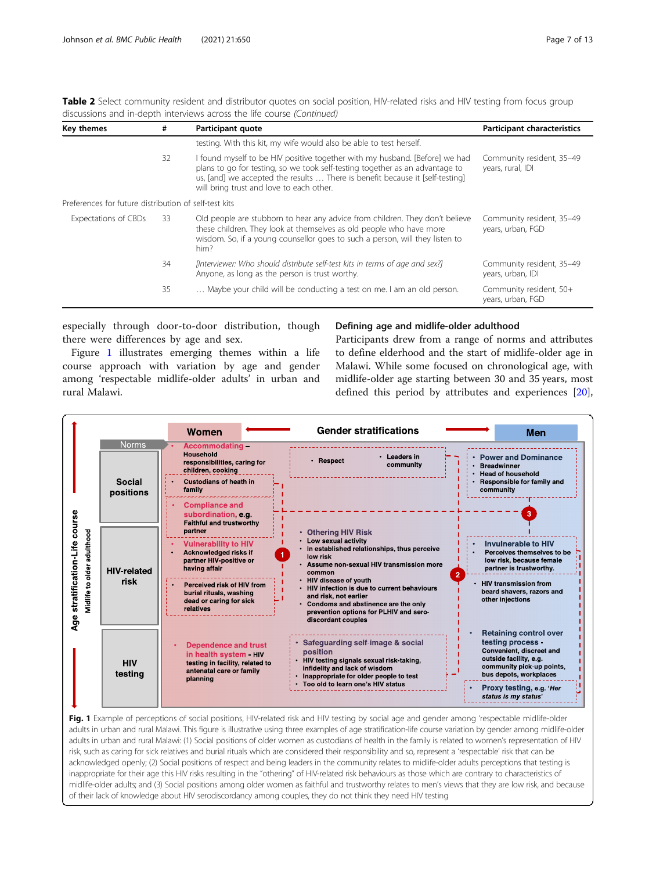| #   | Participant quote                                                                                                                                                                                                                                                                        | <b>Participant characteristics</b>                    |
|-----|------------------------------------------------------------------------------------------------------------------------------------------------------------------------------------------------------------------------------------------------------------------------------------------|-------------------------------------------------------|
|     | testing. With this kit, my wife would also be able to test herself.                                                                                                                                                                                                                      |                                                       |
| 32  | I found myself to be HIV positive together with my husband. [Before] we had<br>plans to go for testing, so we took self-testing together as an advantage to<br>us, [and] we accepted the results  There is benefit because it [self-testing]<br>will bring trust and love to each other. | Community resident, 35-49<br>years, rural, IDI        |
|     |                                                                                                                                                                                                                                                                                          |                                                       |
| -33 | Old people are stubborn to hear any advice from children. They don't believe<br>these children. They look at themselves as old people who have more<br>wisdom. So, if a young counsellor goes to such a person, will they listen to<br>him?                                              | Community resident, 35-49<br>years, urban, FGD        |
| 34  | [Interviewer: Who should distribute self-test kits in terms of age and sex?]<br>Anyone, as long as the person is trust worthy.                                                                                                                                                           | Community resident, 35-49<br>years, urban, IDI        |
| 35  | Maybe your child will be conducting a test on me. I am an old person.                                                                                                                                                                                                                    | Community resident, 50+<br>years, urban, FGD          |
|     |                                                                                                                                                                                                                                                                                          | Preferences for future distribution of self-test kits |

<span id="page-6-0"></span>Table 2 Select community resident and distributor quotes on social position, HIV-related risks and HIV testing from focus group discussions and in-depth interviews across the life course (Continued)

especially through door-to-door distribution, though there were differences by age and sex.

Figure 1 illustrates emerging themes within a life course approach with variation by age and gender among 'respectable midlife-older adults' in urban and rural Malawi.

## Defining age and midlife-older adulthood

Participants drew from a range of norms and attributes to define elderhood and the start of midlife-older age in Malawi. While some focused on chronological age, with midlife-older age starting between 30 and 35 years, most defined this period by attributes and experiences [\[20](#page-12-0)],



Fig. 1 Example of perceptions of social positions, HIV-related risk and HIV testing by social age and gender among 'respectable midlife-older adults in urban and rural Malawi. This figure is illustrative using three examples of age stratification-life course variation by gender among midlife-older adults in urban and rural Malawi: (1) Social positions of older women as custodians of health in the family is related to women's representation of HIV risk, such as caring for sick relatives and burial rituals which are considered their responsibility and so, represent a 'respectable' risk that can be acknowledged openly; (2) Social positions of respect and being leaders in the community relates to midlife-older adults perceptions that testing is inappropriate for their age this HIV risks resulting in the "othering" of HIV-related risk behaviours as those which are contrary to characteristics of midlife-older adults; and (3) Social positions among older women as faithful and trustworthy relates to men's views that they are low risk, and because of their lack of knowledge about HIV serodiscordancy among couples, they do not think they need HIV testing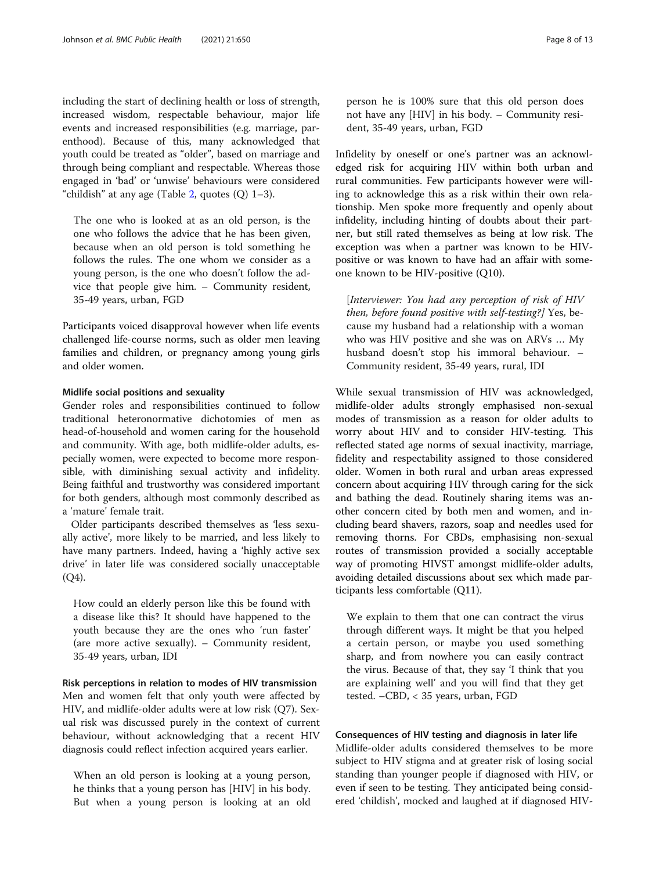including the start of declining health or loss of strength, increased wisdom, respectable behaviour, major life events and increased responsibilities (e.g. marriage, parenthood). Because of this, many acknowledged that youth could be treated as "older", based on marriage and through being compliant and respectable. Whereas those engaged in 'bad' or 'unwise' behaviours were considered "childish" at any age (Table [2,](#page-4-0) quotes  $(Q)$  1–3).

The one who is looked at as an old person, is the one who follows the advice that he has been given, because when an old person is told something he follows the rules. The one whom we consider as a young person, is the one who doesn't follow the advice that people give him. – Community resident, 35-49 years, urban, FGD

Participants voiced disapproval however when life events challenged life-course norms, such as older men leaving families and children, or pregnancy among young girls and older women.

#### Midlife social positions and sexuality

Gender roles and responsibilities continued to follow traditional heteronormative dichotomies of men as head-of-household and women caring for the household and community. With age, both midlife-older adults, especially women, were expected to become more responsible, with diminishing sexual activity and infidelity. Being faithful and trustworthy was considered important for both genders, although most commonly described as a 'mature' female trait.

Older participants described themselves as 'less sexually active', more likely to be married, and less likely to have many partners. Indeed, having a 'highly active sex drive' in later life was considered socially unacceptable (Q4).

How could an elderly person like this be found with a disease like this? It should have happened to the youth because they are the ones who 'run faster' (are more active sexually). – Community resident, 35-49 years, urban, IDI

Risk perceptions in relation to modes of HIV transmission Men and women felt that only youth were affected by HIV, and midlife-older adults were at low risk (Q7). Sexual risk was discussed purely in the context of current behaviour, without acknowledging that a recent HIV diagnosis could reflect infection acquired years earlier.

When an old person is looking at a young person, he thinks that a young person has [HIV] in his body. But when a young person is looking at an old person he is 100% sure that this old person does not have any [HIV] in his body. – Community resident, 35-49 years, urban, FGD

Infidelity by oneself or one's partner was an acknowledged risk for acquiring HIV within both urban and rural communities. Few participants however were willing to acknowledge this as a risk within their own relationship. Men spoke more frequently and openly about infidelity, including hinting of doubts about their partner, but still rated themselves as being at low risk. The exception was when a partner was known to be HIVpositive or was known to have had an affair with someone known to be HIV-positive (Q10).

[Interviewer: You had any perception of risk of HIV then, before found positive with self-testing?] Yes, because my husband had a relationship with a woman who was HIV positive and she was on ARVs … My husband doesn't stop his immoral behaviour. – Community resident, 35-49 years, rural, IDI

While sexual transmission of HIV was acknowledged, midlife-older adults strongly emphasised non-sexual modes of transmission as a reason for older adults to worry about HIV and to consider HIV-testing. This reflected stated age norms of sexual inactivity, marriage, fidelity and respectability assigned to those considered older. Women in both rural and urban areas expressed concern about acquiring HIV through caring for the sick and bathing the dead. Routinely sharing items was another concern cited by both men and women, and including beard shavers, razors, soap and needles used for removing thorns. For CBDs, emphasising non-sexual routes of transmission provided a socially acceptable way of promoting HIVST amongst midlife-older adults, avoiding detailed discussions about sex which made participants less comfortable (Q11).

We explain to them that one can contract the virus through different ways. It might be that you helped a certain person, or maybe you used something sharp, and from nowhere you can easily contract the virus. Because of that, they say 'I think that you are explaining well' and you will find that they get tested. –CBD, < 35 years, urban, FGD

## Consequences of HIV testing and diagnosis in later life

Midlife-older adults considered themselves to be more subject to HIV stigma and at greater risk of losing social standing than younger people if diagnosed with HIV, or even if seen to be testing. They anticipated being considered 'childish', mocked and laughed at if diagnosed HIV-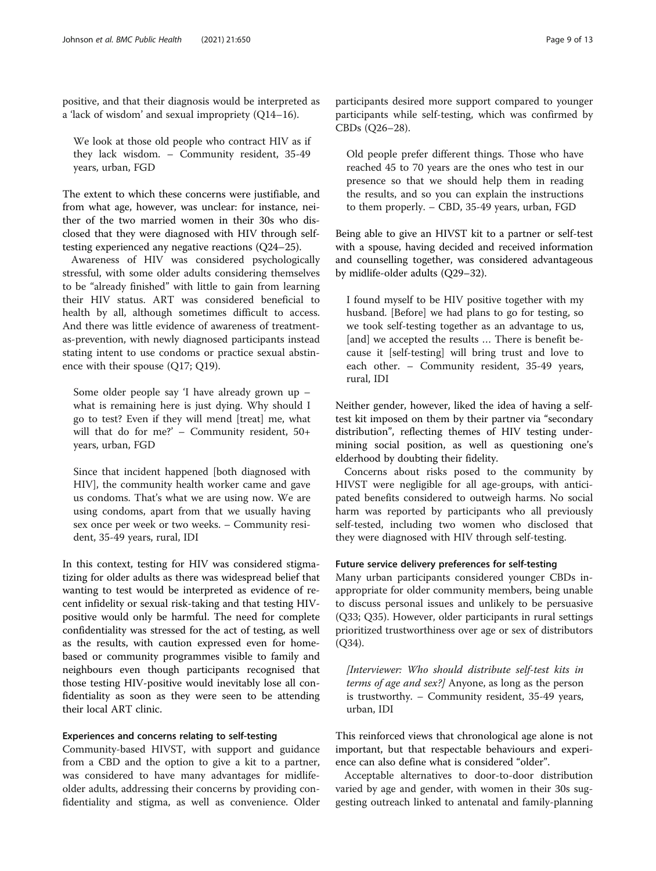positive, and that their diagnosis would be interpreted as a 'lack of wisdom' and sexual impropriety (Q14–16).

We look at those old people who contract HIV as if they lack wisdom. – Community resident, 35-49 years, urban, FGD

The extent to which these concerns were justifiable, and from what age, however, was unclear: for instance, neither of the two married women in their 30s who disclosed that they were diagnosed with HIV through selftesting experienced any negative reactions (Q24–25).

Awareness of HIV was considered psychologically stressful, with some older adults considering themselves to be "already finished" with little to gain from learning their HIV status. ART was considered beneficial to health by all, although sometimes difficult to access. And there was little evidence of awareness of treatmentas-prevention, with newly diagnosed participants instead stating intent to use condoms or practice sexual abstinence with their spouse (Q17; Q19).

Some older people say 'I have already grown up – what is remaining here is just dying. Why should I go to test? Even if they will mend [treat] me, what will that do for me?' – Community resident, 50+ years, urban, FGD

Since that incident happened [both diagnosed with HIV], the community health worker came and gave us condoms. That's what we are using now. We are using condoms, apart from that we usually having sex once per week or two weeks. – Community resident, 35-49 years, rural, IDI

In this context, testing for HIV was considered stigmatizing for older adults as there was widespread belief that wanting to test would be interpreted as evidence of recent infidelity or sexual risk-taking and that testing HIVpositive would only be harmful. The need for complete confidentiality was stressed for the act of testing, as well as the results, with caution expressed even for homebased or community programmes visible to family and neighbours even though participants recognised that those testing HIV-positive would inevitably lose all confidentiality as soon as they were seen to be attending their local ART clinic.

### Experiences and concerns relating to self-testing

Community-based HIVST, with support and guidance from a CBD and the option to give a kit to a partner, was considered to have many advantages for midlifeolder adults, addressing their concerns by providing confidentiality and stigma, as well as convenience. Older

participants desired more support compared to younger participants while self-testing, which was confirmed by CBDs (Q26–28).

Old people prefer different things. Those who have reached 45 to 70 years are the ones who test in our presence so that we should help them in reading the results, and so you can explain the instructions to them properly. – CBD, 35-49 years, urban, FGD

Being able to give an HIVST kit to a partner or self-test with a spouse, having decided and received information and counselling together, was considered advantageous by midlife-older adults (Q29–32).

I found myself to be HIV positive together with my husband. [Before] we had plans to go for testing, so we took self-testing together as an advantage to us, [and] we accepted the results ... There is benefit because it [self-testing] will bring trust and love to each other. – Community resident, 35-49 years, rural, IDI

Neither gender, however, liked the idea of having a selftest kit imposed on them by their partner via "secondary distribution", reflecting themes of HIV testing undermining social position, as well as questioning one's elderhood by doubting their fidelity.

Concerns about risks posed to the community by HIVST were negligible for all age-groups, with anticipated benefits considered to outweigh harms. No social harm was reported by participants who all previously self-tested, including two women who disclosed that they were diagnosed with HIV through self-testing.

## Future service delivery preferences for self-testing

Many urban participants considered younger CBDs inappropriate for older community members, being unable to discuss personal issues and unlikely to be persuasive (Q33; Q35). However, older participants in rural settings prioritized trustworthiness over age or sex of distributors (Q34).

[Interviewer: Who should distribute self-test kits in terms of age and sex?] Anyone, as long as the person is trustworthy. – Community resident, 35-49 years, urban, IDI

This reinforced views that chronological age alone is not important, but that respectable behaviours and experience can also define what is considered "older".

Acceptable alternatives to door-to-door distribution varied by age and gender, with women in their 30s suggesting outreach linked to antenatal and family-planning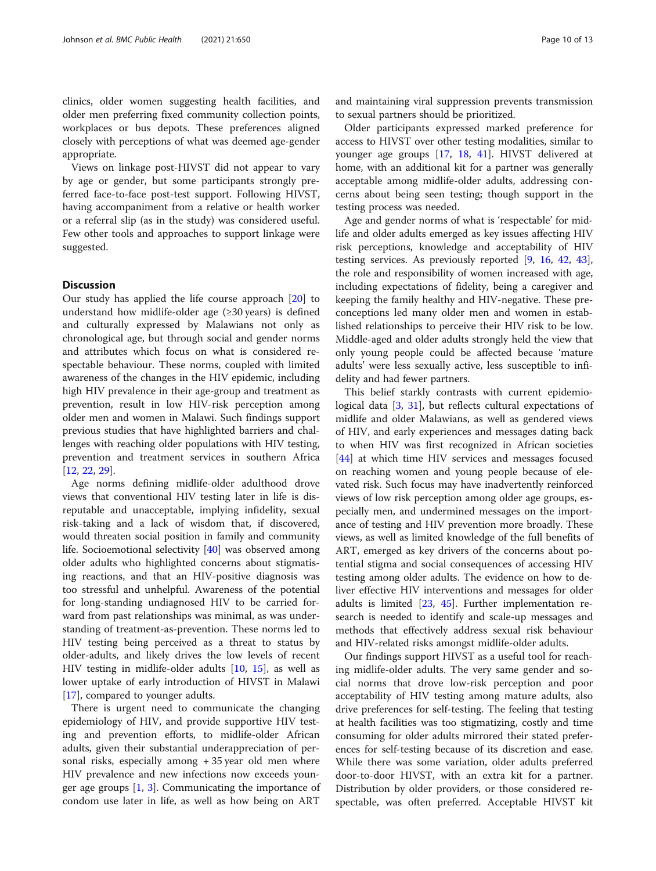clinics, older women suggesting health facilities, and older men preferring fixed community collection points, workplaces or bus depots. These preferences aligned closely with perceptions of what was deemed age-gender appropriate.

Views on linkage post-HIVST did not appear to vary by age or gender, but some participants strongly preferred face-to-face post-test support. Following HIVST, having accompaniment from a relative or health worker or a referral slip (as in the study) was considered useful. Few other tools and approaches to support linkage were suggested.

## **Discussion**

Our study has applied the life course approach [\[20\]](#page-12-0) to understand how midlife-older age (≥30 years) is defined and culturally expressed by Malawians not only as chronological age, but through social and gender norms and attributes which focus on what is considered respectable behaviour. These norms, coupled with limited awareness of the changes in the HIV epidemic, including high HIV prevalence in their age-group and treatment as prevention, result in low HIV-risk perception among older men and women in Malawi. Such findings support previous studies that have highlighted barriers and challenges with reaching older populations with HIV testing, prevention and treatment services in southern Africa [[12,](#page-11-0) [22,](#page-12-0) [29](#page-12-0)].

Age norms defining midlife-older adulthood drove views that conventional HIV testing later in life is disreputable and unacceptable, implying infidelity, sexual risk-taking and a lack of wisdom that, if discovered, would threaten social position in family and community life. Socioemotional selectivity [[40\]](#page-12-0) was observed among older adults who highlighted concerns about stigmatising reactions, and that an HIV-positive diagnosis was too stressful and unhelpful. Awareness of the potential for long-standing undiagnosed HIV to be carried forward from past relationships was minimal, as was understanding of treatment-as-prevention. These norms led to HIV testing being perceived as a threat to status by older-adults, and likely drives the low levels of recent HIV testing in midlife-older adults [[10](#page-11-0), [15\]](#page-11-0), as well as lower uptake of early introduction of HIVST in Malawi [[17\]](#page-11-0), compared to younger adults.

There is urgent need to communicate the changing epidemiology of HIV, and provide supportive HIV testing and prevention efforts, to midlife-older African adults, given their substantial underappreciation of personal risks, especially among + 35 year old men where HIV prevalence and new infections now exceeds younger age groups [[1,](#page-11-0) [3\]](#page-11-0). Communicating the importance of condom use later in life, as well as how being on ART

and maintaining viral suppression prevents transmission to sexual partners should be prioritized.

Older participants expressed marked preference for access to HIVST over other testing modalities, similar to younger age groups [[17](#page-11-0), [18,](#page-11-0) [41](#page-12-0)]. HIVST delivered at home, with an additional kit for a partner was generally acceptable among midlife-older adults, addressing concerns about being seen testing; though support in the testing process was needed.

Age and gender norms of what is 'respectable' for midlife and older adults emerged as key issues affecting HIV risk perceptions, knowledge and acceptability of HIV testing services. As previously reported [[9,](#page-11-0) [16](#page-11-0), [42,](#page-12-0) [43](#page-12-0)], the role and responsibility of women increased with age, including expectations of fidelity, being a caregiver and keeping the family healthy and HIV-negative. These preconceptions led many older men and women in established relationships to perceive their HIV risk to be low. Middle-aged and older adults strongly held the view that only young people could be affected because 'mature adults' were less sexually active, less susceptible to infidelity and had fewer partners.

This belief starkly contrasts with current epidemiological data [\[3](#page-11-0), [31](#page-12-0)], but reflects cultural expectations of midlife and older Malawians, as well as gendered views of HIV, and early experiences and messages dating back to when HIV was first recognized in African societies [[44\]](#page-12-0) at which time HIV services and messages focused on reaching women and young people because of elevated risk. Such focus may have inadvertently reinforced views of low risk perception among older age groups, especially men, and undermined messages on the importance of testing and HIV prevention more broadly. These views, as well as limited knowledge of the full benefits of ART, emerged as key drivers of the concerns about potential stigma and social consequences of accessing HIV testing among older adults. The evidence on how to deliver effective HIV interventions and messages for older adults is limited  $[23, 45]$  $[23, 45]$  $[23, 45]$  $[23, 45]$ . Further implementation research is needed to identify and scale-up messages and methods that effectively address sexual risk behaviour and HIV-related risks amongst midlife-older adults.

Our findings support HIVST as a useful tool for reaching midlife-older adults. The very same gender and social norms that drove low-risk perception and poor acceptability of HIV testing among mature adults, also drive preferences for self-testing. The feeling that testing at health facilities was too stigmatizing, costly and time consuming for older adults mirrored their stated preferences for self-testing because of its discretion and ease. While there was some variation, older adults preferred door-to-door HIVST, with an extra kit for a partner. Distribution by older providers, or those considered respectable, was often preferred. Acceptable HIVST kit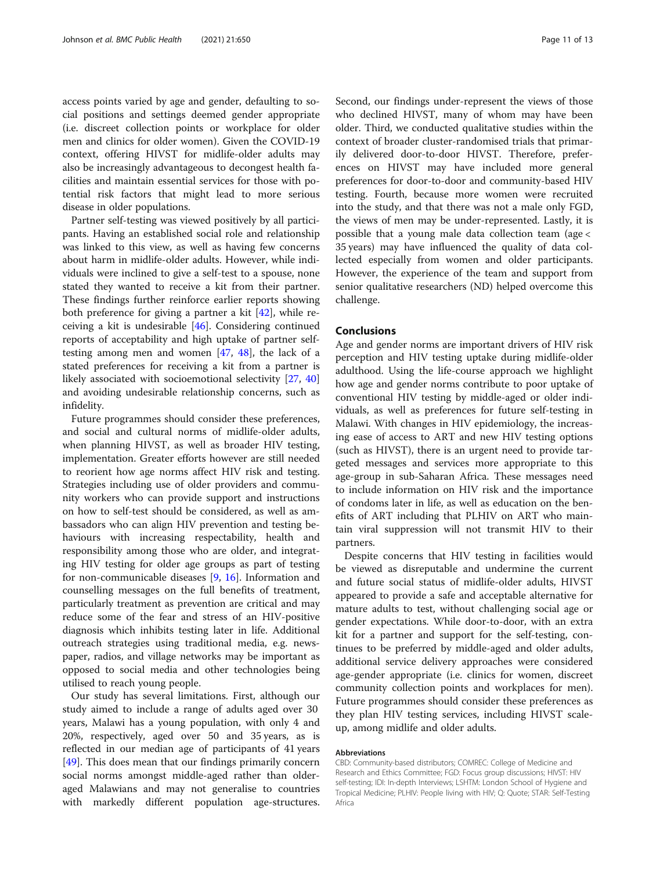access points varied by age and gender, defaulting to social positions and settings deemed gender appropriate (i.e. discreet collection points or workplace for older men and clinics for older women). Given the COVID-19 context, offering HIVST for midlife-older adults may also be increasingly advantageous to decongest health facilities and maintain essential services for those with potential risk factors that might lead to more serious disease in older populations.

Partner self-testing was viewed positively by all participants. Having an established social role and relationship was linked to this view, as well as having few concerns about harm in midlife-older adults. However, while individuals were inclined to give a self-test to a spouse, none stated they wanted to receive a kit from their partner. These findings further reinforce earlier reports showing both preference for giving a partner a kit  $[42]$ , while receiving a kit is undesirable [[46\]](#page-12-0). Considering continued reports of acceptability and high uptake of partner selftesting among men and women  $[47, 48]$  $[47, 48]$  $[47, 48]$  $[47, 48]$  $[47, 48]$ , the lack of a stated preferences for receiving a kit from a partner is likely associated with socioemotional selectivity [[27,](#page-12-0) [40](#page-12-0)] and avoiding undesirable relationship concerns, such as infidelity.

Future programmes should consider these preferences, and social and cultural norms of midlife-older adults, when planning HIVST, as well as broader HIV testing, implementation. Greater efforts however are still needed to reorient how age norms affect HIV risk and testing. Strategies including use of older providers and community workers who can provide support and instructions on how to self-test should be considered, as well as ambassadors who can align HIV prevention and testing behaviours with increasing respectability, health and responsibility among those who are older, and integrating HIV testing for older age groups as part of testing for non-communicable diseases [[9,](#page-11-0) [16](#page-11-0)]. Information and counselling messages on the full benefits of treatment, particularly treatment as prevention are critical and may reduce some of the fear and stress of an HIV-positive diagnosis which inhibits testing later in life. Additional outreach strategies using traditional media, e.g. newspaper, radios, and village networks may be important as opposed to social media and other technologies being utilised to reach young people.

Our study has several limitations. First, although our study aimed to include a range of adults aged over 30 years, Malawi has a young population, with only 4 and 20%, respectively, aged over 50 and 35 years, as is reflected in our median age of participants of 41 years [[49\]](#page-12-0). This does mean that our findings primarily concern social norms amongst middle-aged rather than olderaged Malawians and may not generalise to countries with markedly different population age-structures. Second, our findings under-represent the views of those who declined HIVST, many of whom may have been older. Third, we conducted qualitative studies within the context of broader cluster-randomised trials that primarily delivered door-to-door HIVST. Therefore, preferences on HIVST may have included more general preferences for door-to-door and community-based HIV testing. Fourth, because more women were recruited into the study, and that there was not a male only FGD, the views of men may be under-represented. Lastly, it is possible that a young male data collection team (age < 35 years) may have influenced the quality of data collected especially from women and older participants. However, the experience of the team and support from senior qualitative researchers (ND) helped overcome this challenge.

## **Conclusions**

Age and gender norms are important drivers of HIV risk perception and HIV testing uptake during midlife-older adulthood. Using the life-course approach we highlight how age and gender norms contribute to poor uptake of conventional HIV testing by middle-aged or older individuals, as well as preferences for future self-testing in Malawi. With changes in HIV epidemiology, the increasing ease of access to ART and new HIV testing options (such as HIVST), there is an urgent need to provide targeted messages and services more appropriate to this age-group in sub-Saharan Africa. These messages need to include information on HIV risk and the importance of condoms later in life, as well as education on the benefits of ART including that PLHIV on ART who maintain viral suppression will not transmit HIV to their partners.

Despite concerns that HIV testing in facilities would be viewed as disreputable and undermine the current and future social status of midlife-older adults, HIVST appeared to provide a safe and acceptable alternative for mature adults to test, without challenging social age or gender expectations. While door-to-door, with an extra kit for a partner and support for the self-testing, continues to be preferred by middle-aged and older adults, additional service delivery approaches were considered age-gender appropriate (i.e. clinics for women, discreet community collection points and workplaces for men). Future programmes should consider these preferences as they plan HIV testing services, including HIVST scaleup, among midlife and older adults.

#### Abbreviations

CBD: Community-based distributors; COMREC: College of Medicine and Research and Ethics Committee; FGD: Focus group discussions; HIVST: HIV self-testing; IDI: In-depth Interviews; LSHTM: London School of Hygiene and Tropical Medicine; PLHIV: People living with HIV; Q: Quote; STAR: Self-Testing Africa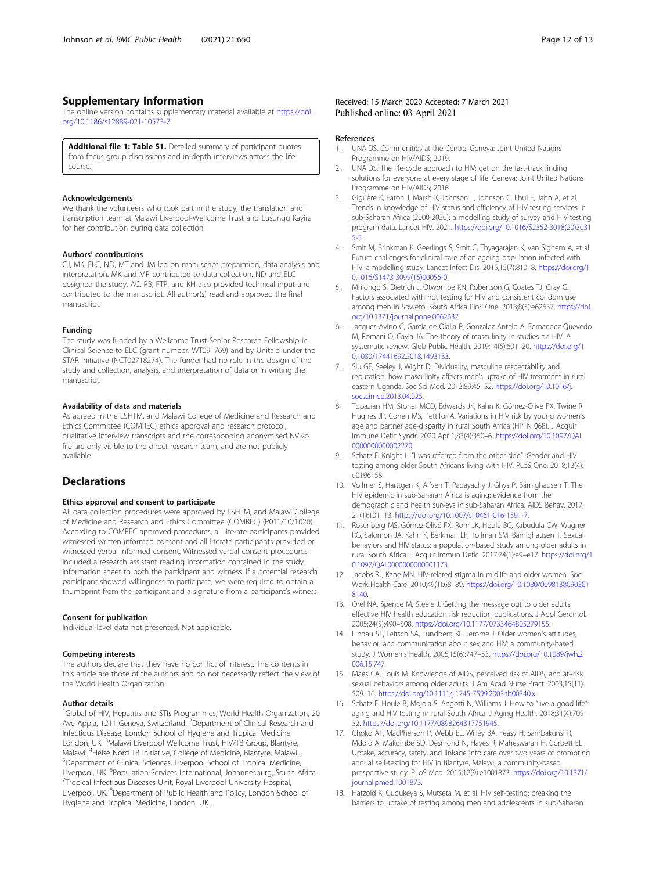## <span id="page-11-0"></span>Supplementary Information

The online version contains supplementary material available at [https://doi.](https://doi.org/10.1186/s12889-021-10573-7) [org/10.1186/s12889-021-10573-7.](https://doi.org/10.1186/s12889-021-10573-7)

Additional file 1: Table S1. Detailed summary of participant quotes from focus group discussions and in-depth interviews across the life course.

#### Acknowledgements

We thank the volunteers who took part in the study, the translation and transcription team at Malawi Liverpool-Wellcome Trust and Lusungu Kayira for her contribution during data collection.

#### Authors' contributions

CJ, MK, ELC, ND, MT and JM led on manuscript preparation, data analysis and interpretation. MK and MP contributed to data collection. ND and ELC designed the study. AC, RB, FTP, and KH also provided technical input and contributed to the manuscript. All author(s) read and approved the final manuscript.

#### Funding

The study was funded by a Wellcome Trust Senior Research Fellowship in Clinical Science to ELC (grant number: WT091769) and by Unitaid under the STAR Initiative (NCT02718274). The funder had no role in the design of the study and collection, analysis, and interpretation of data or in writing the manuscript.

#### Availability of data and materials

As agreed in the LSHTM, and Malawi College of Medicine and Research and Ethics Committee (COMREC) ethics approval and research protocol, qualitative interview transcripts and the corresponding anonymised NVivo file are only visible to the direct research team, and are not publicly available.

#### **Declarations**

#### Ethics approval and consent to participate

All data collection procedures were approved by LSHTM, and Malawi College of Medicine and Research and Ethics Committee (COMREC) (P011/10/1020). According to COMREC approved procedures, all literate participants provided witnessed written informed consent and all literate participants provided or witnessed verbal informed consent. Witnessed verbal consent procedures included a research assistant reading information contained in the study information sheet to both the participant and witness. If a potential research participant showed willingness to participate, we were required to obtain a thumbprint from the participant and a signature from a participant's witness.

## Consent for publication

Individual-level data not presented. Not applicable.

#### Competing interests

The authors declare that they have no conflict of interest. The contents in this article are those of the authors and do not necessarily reflect the view of the World Health Organization.

#### Author details

<sup>1</sup>Global of HIV, Hepatitis and STIs Programmes, World Health Organization, 20 Ave Appia, 1211 Geneva, Switzerland. <sup>2</sup>Department of Clinical Research and Infectious Disease, London School of Hygiene and Tropical Medicine, London, UK. <sup>3</sup>Malawi Liverpool Wellcome Trust, HIV/TB Group, Blantyre, Malawi. <sup>4</sup>Helse Nord TB Initiative, College of Medicine, Blantyre, Malawi.<br><sup>5</sup>Dopartment of Clinical Sciences, Liverpool School of Tropical Medicine <sup>5</sup>Department of Clinical Sciences, Liverpool School of Tropical Medicine, Liverpool, UK. <sup>6</sup>Population Services International, Johannesburg, South Africa.<br><sup>7</sup>Tropical Infectious Diseases Unit, Poval Liverpool University Herpital Tropical Infectious Diseases Unit, Royal Liverpool University Hospital, Liverpool, UK. <sup>8</sup>Department of Public Health and Policy, London School of Hygiene and Tropical Medicine, London, UK.

#### References

- 1. UNAIDS. Communities at the Centre. Geneva: Joint United Nations Programme on HIV/AIDS; 2019.
- 2. UNAIDS. The life-cycle approach to HIV: get on the fast-track finding solutions for everyone at every stage of life. Geneva: Joint United Nations Programme on HIV/AIDS; 2016.
- 3. Giguère K, Eaton J, Marsh K, Johnson L, Johnson C, Ehui E, Jahn A, et al. Trends in knowledge of HIV status and efficiency of HIV testing services in sub-Saharan Africa (2000-2020): a modelling study of survey and HIV testing program data. Lancet HIV. 2021. [https://doi.org/10.1016/S2352-3018\(20\)3031](https://doi.org/10.1016/S2352-3018(20)30315-5) [5-5.](https://doi.org/10.1016/S2352-3018(20)30315-5)
- 4. Smit M, Brinkman K, Geerlings S, Smit C, Thyagarajan K, van Sighem A, et al. Future challenges for clinical care of an ageing population infected with HIV: a modelling study. Lancet Infect Dis. 2015;15(7):810–8. [https://doi.org/1](https://doi.org/10.1016/S1473-3099(15)00056-0) [0.1016/S1473-3099\(15\)00056-0](https://doi.org/10.1016/S1473-3099(15)00056-0).
- 5. Mhlongo S, Dietrich J, Otwombe KN, Robertson G, Coates TJ, Gray G. Factors associated with not testing for HIV and consistent condom use among men in Soweto. South Africa PloS One. 2013;8(5):e62637. [https://doi.](https://doi.org/10.1371/journal.pone.0062637) [org/10.1371/journal.pone.0062637.](https://doi.org/10.1371/journal.pone.0062637)
- 6. Jacques-Avino C, Garcia de Olalla P, Gonzalez Antelo A, Fernandez Quevedo M, Romani O, Cayla JA. The theory of masculinity in studies on HIV. A systematic review. Glob Public Health. 2019;14(5):601–20. [https://doi.org/1](https://doi.org/10.1080/17441692.2018.1493133) [0.1080/17441692.2018.1493133.](https://doi.org/10.1080/17441692.2018.1493133)
- 7. Siu GE, Seeley J, Wight D. Dividuality, masculine respectability and reputation: how masculinity affects men's uptake of HIV treatment in rural eastern Uganda. Soc Sci Med. 2013;89:45–52. [https://doi.org/10.1016/j.](https://doi.org/10.1016/j.socscimed.2013.04.025) [socscimed.2013.04.025.](https://doi.org/10.1016/j.socscimed.2013.04.025)
- 8. Topazian HM, Stoner MCD, Edwards JK, Kahn K, Gómez-Olivé FX, Twine R, Hughes JP, Cohen MS, Pettifor A. Variations in HIV risk by young women's age and partner age-disparity in rural South Africa (HPTN 068). J Acquir Immune Defic Syndr. 2020 Apr 1;83(4):350–6. [https://doi.org/10.1097/QAI.](https://doi.org/10.1097/QAI.0000000000002270) [0000000000002270](https://doi.org/10.1097/QAI.0000000000002270).
- 9. Schatz E, Knight L. "I was referred from the other side": Gender and HIV testing among older South Africans living with HIV. PLoS One. 2018;13(4): e0196158.
- 10. Vollmer S, Harttgen K, Alfven T, Padayachy J, Ghys P, Bärnighausen T. The HIV epidemic in sub-Saharan Africa is aging: evidence from the demographic and health surveys in sub-Saharan Africa. AIDS Behav. 2017; 21(1):101–13. <https://doi.org/10.1007/s10461-016-1591-7>.
- 11. Rosenberg MS, Gómez-Olivé FX, Rohr JK, Houle BC, Kabudula CW, Wagner RG, Salomon JA, Kahn K, Berkman LF, Tollman SM, Bärnighausen T. Sexual behaviors and HIV status: a population-based study among older adults in rural South Africa. J Acquir Immun Defic. 2017;74(1):e9–e17. [https://doi.org/1](https://doi.org/10.1097/QAI.0000000000001173) [0.1097/QAI.0000000000001173.](https://doi.org/10.1097/QAI.0000000000001173)
- 12. Jacobs RJ, Kane MN. HIV-related stigma in midlife and older women. Soc Work Health Care. 2010;49(1):68–89. [https://doi.org/10.1080/0098138090301](https://doi.org/10.1080/00981380903018140) [8140](https://doi.org/10.1080/00981380903018140).
- 13. Orel NA, Spence M, Steele J. Getting the message out to older adults: effective HIV health education risk reduction publications. J Appl Gerontol. 2005;24(5):490–508. [https://doi.org/10.1177/0733464805279155.](https://doi.org/10.1177/0733464805279155)
- 14. Lindau ST, Leitsch SA, Lundberg KL, Jerome J. Older women's attitudes, behavior, and communication about sex and HIV: a community-based study. J Women's Health. 2006;15(6):747–53. [https://doi.org/10.1089/jwh.2](https://doi.org/10.1089/jwh.2006.15.747) [006.15.747](https://doi.org/10.1089/jwh.2006.15.747).
- 15. Maes CA, Louis M. Knowledge of AIDS, perceived risk of AIDS, and at–risk sexual behaviors among older adults. J Am Acad Nurse Pract. 2003;15(11): 509–16. <https://doi.org/10.1111/j.1745-7599.2003.tb00340.x>.
- 16. Schatz E, Houle B, Mojola S, Angotti N, Williams J. How to "live a good life": aging and HIV testing in rural South Africa. J Aging Health. 2018;31(4):709– 32. [https://doi.org/10.1177/0898264317751945.](https://doi.org/10.1177/0898264317751945)
- 17. Choko AT, MacPherson P, Webb EL, Willey BA, Feasy H, Sambakunsi R, Mdolo A, Makombe SD, Desmond N, Hayes R, Maheswaran H, Corbett EL. Uptake, accuracy, safety, and linkage into care over two years of promoting annual self-testing for HIV in Blantyre, Malawi: a community-based prospective study. PLoS Med. 2015;12(9):e1001873. [https://doi.org/10.1371/](https://doi.org/10.1371/journal.pmed.1001873) [journal.pmed.1001873](https://doi.org/10.1371/journal.pmed.1001873).
- 18. Hatzold K, Gudukeya S, Mutseta M, et al. HIV self-testing: breaking the barriers to uptake of testing among men and adolescents in sub-Saharan